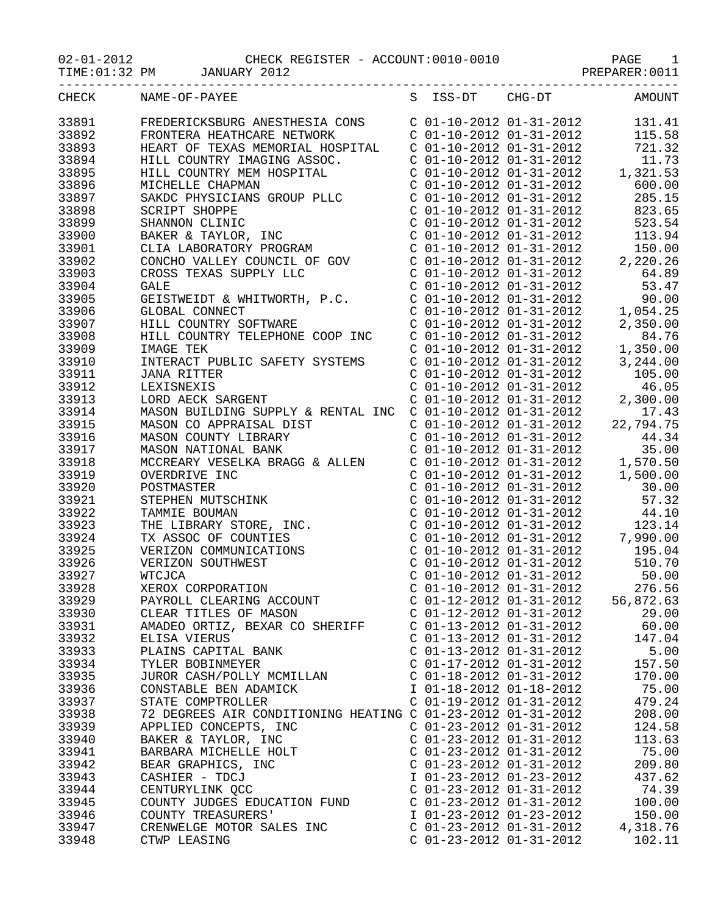02-01-2012 CHECK REGISTER - ACCOUNT:0010-0010 PAGE 1

| TIME: 01:32 PM |                           |                                                                                                                                                                                                           |                                                                                                                                                                                                |                                                                                                                                  |
|----------------|---------------------------|-----------------------------------------------------------------------------------------------------------------------------------------------------------------------------------------------------------|------------------------------------------------------------------------------------------------------------------------------------------------------------------------------------------------|----------------------------------------------------------------------------------------------------------------------------------|
| CHECK          | NAME-OF-PAYEE             |                                                                                                                                                                                                           | S ISS-DT CHG-DT                                                                                                                                                                                | <b>AMOUNT</b>                                                                                                                    |
| 33891          |                           | FREDERICKSBURG ANESTHESIA CONS                                                                                                                                                                            |                                                                                                                                                                                                | $\begin{tabular}{lllllllllll} C & 01-10-2012 & 01-31-2012 & & 131.41 \\ C & 01-10-2012 & 01-31-2012 & & 115.58 \\ \end{tabular}$ |
| 33892          |                           | FRONTERA HEATHCARE NETWORK                                                                                                                                                                                |                                                                                                                                                                                                |                                                                                                                                  |
| 33893          |                           | HEART OF TEXAS MEMORIAL HOSPITAL                                                                                                                                                                          | $C$ 01-10-2012 01-31-2012                                                                                                                                                                      | 721.32                                                                                                                           |
| 33894          |                           | HILL COUNTRY IMAGING ASSOC.                                                                                                                                                                               | $C$ 01-10-2012 01-31-2012                                                                                                                                                                      | 11.73                                                                                                                            |
| 33895          | HILL COUNTRY MEM HOSPITAL |                                                                                                                                                                                                           | $C$ 01-10-2012 01-31-2012                                                                                                                                                                      | 1,321.53                                                                                                                         |
| 33896          | MICHELLE CHAPMAN          |                                                                                                                                                                                                           | $C$ 01-10-2012 01-31-2012                                                                                                                                                                      | 600.00                                                                                                                           |
| 33897          |                           | SAKDC PHYSICIANS GROUP PLLC                                                                                                                                                                               | $C$ 01-10-2012 01-31-2012                                                                                                                                                                      | 285.15                                                                                                                           |
| 33898          | <b>SCRIPT SHOPPE</b>      |                                                                                                                                                                                                           | $C$ 01-10-2012 01-31-2012                                                                                                                                                                      | 823.65                                                                                                                           |
| 33899          | SHANNON CLINIC            |                                                                                                                                                                                                           | $C$ 01-10-2012 01-31-2012                                                                                                                                                                      | 523.54                                                                                                                           |
| 33900          | BAKER & TAYLOR, INC       |                                                                                                                                                                                                           | $C$ 01-10-2012 01-31-2012                                                                                                                                                                      | 113.94                                                                                                                           |
|                |                           |                                                                                                                                                                                                           | $C$ 01-10-2012 01-31-2012                                                                                                                                                                      | 150.00                                                                                                                           |
| 33901          |                           | CLIA LABORATORY PROGRAM                                                                                                                                                                                   |                                                                                                                                                                                                |                                                                                                                                  |
| 33902          |                           | CONCHO VALLEY COUNCIL OF GOV                                                                                                                                                                              | $C$ 01-10-2012 01-31-2012                                                                                                                                                                      | 2,220.26                                                                                                                         |
| 33903          | CROSS TEXAS SUPPLY LLC    |                                                                                                                                                                                                           | $C$ 01-10-2012 01-31-2012                                                                                                                                                                      | 64.89                                                                                                                            |
| 33904          | <b>GALE</b>               |                                                                                                                                                                                                           | $C$ 01-10-2012 01-31-2012                                                                                                                                                                      | 53.47                                                                                                                            |
| 33905          |                           | GEISTWEIDT & WHITWORTH, P.C.                                                                                                                                                                              | $C$ 01-10-2012 01-31-2012                                                                                                                                                                      | 90.00                                                                                                                            |
| 33906          | GLOBAL CONNECT            |                                                                                                                                                                                                           | $C$ 01-10-2012 01-31-2012                                                                                                                                                                      | 1,054.25                                                                                                                         |
| 33907          | HILL COUNTRY SOFTWARE     |                                                                                                                                                                                                           | $C$ 01-10-2012 01-31-2012                                                                                                                                                                      | 2,350.00                                                                                                                         |
| 33908          |                           | HILL COUNTRY TELEPHONE COOP INC                                                                                                                                                                           | $C$ 01-10-2012 01-31-2012                                                                                                                                                                      | 84.76                                                                                                                            |
| 33909          | IMAGE TEK                 |                                                                                                                                                                                                           | $C$ 01-10-2012 01-31-2012                                                                                                                                                                      | 1,350.00                                                                                                                         |
| 33910          |                           | INTERACT PUBLIC SAFETY SYSTEMS                                                                                                                                                                            | $C$ 01-10-2012 01-31-2012                                                                                                                                                                      | 3,244.00                                                                                                                         |
| 33911          | <b>JANA RITTER</b>        |                                                                                                                                                                                                           | $C$ 01-10-2012 01-31-2012                                                                                                                                                                      | 105.00                                                                                                                           |
| 33912          | LEXISNEXIS                |                                                                                                                                                                                                           | $C$ 01-10-2012 01-31-2012                                                                                                                                                                      | 46.05                                                                                                                            |
| 33913          | LORD AECK SARGENT         |                                                                                                                                                                                                           | $C$ 01-10-2012 01-31-2012                                                                                                                                                                      | 2,300.00                                                                                                                         |
| 33914          |                           | MASON BUILDING SUPPLY & RENTAL INC                                                                                                                                                                        | $C$ 01-10-2012 01-31-2012                                                                                                                                                                      | 17.43                                                                                                                            |
| 33915          | MASON CO APPRAISAL DIST   |                                                                                                                                                                                                           | $C$ 01-10-2012 01-31-2012                                                                                                                                                                      | 22,794.75                                                                                                                        |
| 33916          |                           |                                                                                                                                                                                                           | $C$ 01-10-2012 01-31-2012                                                                                                                                                                      | 44.34                                                                                                                            |
| 33917          |                           |                                                                                                                                                                                                           | $C$ 01-10-2012 01-31-2012                                                                                                                                                                      | 35.00                                                                                                                            |
| 33918          |                           | NN COUNTY LINE<br>SON NATIONAL BANK<br>CREARY VESELKA BRAGG & ALLIERDRIVE INC<br>OSTMASTER<br>STEPHEN MUTSCHINK<br>TAMMIE BOUMAN<br>THE LIBRARY STORE, INC.<br>TX ASSOC OF COUNTIES<br>TAN COMMUNICATIONS | $C$ 01-10-2012 01-31-2012                                                                                                                                                                      | 1,570.50                                                                                                                         |
| 33919          |                           |                                                                                                                                                                                                           | $C$ 01-10-2012 01-31-2012                                                                                                                                                                      | 1,500.00                                                                                                                         |
| 33920          |                           |                                                                                                                                                                                                           | $C$ 01-10-2012 01-31-2012                                                                                                                                                                      | 30.00                                                                                                                            |
| 33921          |                           |                                                                                                                                                                                                           | $C$ 01-10-2012 01-31-2012                                                                                                                                                                      | 57.32                                                                                                                            |
| 33922          |                           |                                                                                                                                                                                                           | $C$ 01-10-2012 01-31-2012                                                                                                                                                                      | 44.10                                                                                                                            |
| 33923          |                           |                                                                                                                                                                                                           | $\begin{array}{llll} \mbox{C} & 01-10-2012 & 01-31-2012 \\ \mbox{C} & 01-10-2012 & 01-31-2012 & 7 \\ \mbox{C} & 01-10-2012 & 01-31-2012 & \\ \mbox{C} & 01-10-2012 & 01-31-2012 & \end{array}$ | 123.14                                                                                                                           |
| 33924          |                           |                                                                                                                                                                                                           |                                                                                                                                                                                                | 7,990.00                                                                                                                         |
| 33925          |                           |                                                                                                                                                                                                           |                                                                                                                                                                                                | 195.04                                                                                                                           |
| 33926          |                           |                                                                                                                                                                                                           |                                                                                                                                                                                                | 510.70                                                                                                                           |
| 33927          |                           |                                                                                                                                                                                                           | $C$ 01-10-2012 01-31-2012                                                                                                                                                                      | 50.00                                                                                                                            |
| 33928          | XEROX CORPORATION         |                                                                                                                                                                                                           | $C$ 01-10-2012 01-31-2012                                                                                                                                                                      | 276.56                                                                                                                           |
| 33929          | PAYROLL CLEARING ACCOUNT  |                                                                                                                                                                                                           | $C$ 01-12-2012 01-31-2012                                                                                                                                                                      | 56,872.63                                                                                                                        |
| 33930          | CLEAR TITLES OF MASON     |                                                                                                                                                                                                           | $C$ 01-12-2012 01-31-2012                                                                                                                                                                      | 29.00                                                                                                                            |
| 33931          |                           | AMADEO ORTIZ, BEXAR CO SHERIFF                                                                                                                                                                            | $C$ 01-13-2012 01-31-2012                                                                                                                                                                      | 60.00                                                                                                                            |
| 33932          | ELISA VIERUS              |                                                                                                                                                                                                           | $C$ 01-13-2012 01-31-2012                                                                                                                                                                      | 147.04                                                                                                                           |
| 33933          | PLAINS CAPITAL BANK       |                                                                                                                                                                                                           | $C$ 01-13-2012 01-31-2012                                                                                                                                                                      | 5.00                                                                                                                             |
| 33934          | TYLER BOBINMEYER          |                                                                                                                                                                                                           | $C$ 01-17-2012 01-31-2012                                                                                                                                                                      | 157.50                                                                                                                           |
| 33935          |                           | JUROR CASH/POLLY MCMILLAN                                                                                                                                                                                 | $C$ 01-18-2012 01-31-2012                                                                                                                                                                      | 170.00                                                                                                                           |
| 33936          | CONSTABLE BEN ADAMICK     |                                                                                                                                                                                                           | I 01-18-2012 01-18-2012                                                                                                                                                                        | 75.00                                                                                                                            |
| 33937          | STATE COMPTROLLER         |                                                                                                                                                                                                           | $C$ 01-19-2012 01-31-2012                                                                                                                                                                      | 479.24                                                                                                                           |
| 33938          |                           | 72 DEGREES AIR CONDITIONING HEATING C 01-23-2012 01-31-2012                                                                                                                                               |                                                                                                                                                                                                | 208.00                                                                                                                           |
| 33939          | APPLIED CONCEPTS, INC     |                                                                                                                                                                                                           | $C$ 01-23-2012 01-31-2012                                                                                                                                                                      | 124.58                                                                                                                           |
| 33940          | BAKER & TAYLOR, INC       |                                                                                                                                                                                                           | $C$ 01-23-2012 01-31-2012                                                                                                                                                                      | 113.63                                                                                                                           |
| 33941          | BARBARA MICHELLE HOLT     |                                                                                                                                                                                                           | $C$ 01-23-2012 01-31-2012                                                                                                                                                                      | 75.00                                                                                                                            |
| 33942          | BEAR GRAPHICS, INC        |                                                                                                                                                                                                           | $C$ 01-23-2012 01-31-2012                                                                                                                                                                      | 209.80                                                                                                                           |
| 33943          | CASHIER - TDCJ            |                                                                                                                                                                                                           | I 01-23-2012 01-23-2012                                                                                                                                                                        | 437.62                                                                                                                           |
|                |                           |                                                                                                                                                                                                           |                                                                                                                                                                                                |                                                                                                                                  |
| 33944          | CENTURYLINK QCC           |                                                                                                                                                                                                           | $C$ 01-23-2012 01-31-2012                                                                                                                                                                      | 74.39                                                                                                                            |
| 33945          |                           | COUNTY JUDGES EDUCATION FUND                                                                                                                                                                              | $C$ 01-23-2012 01-31-2012                                                                                                                                                                      | 100.00                                                                                                                           |
| 33946          | COUNTY TREASURERS'        |                                                                                                                                                                                                           | I 01-23-2012 01-23-2012                                                                                                                                                                        | 150.00                                                                                                                           |
| 33947          | CRENWELGE MOTOR SALES INC |                                                                                                                                                                                                           | $C$ 01-23-2012 01-31-2012                                                                                                                                                                      | 4,318.76                                                                                                                         |
| 33948          | CTWP LEASING              |                                                                                                                                                                                                           | $C$ 01-23-2012 01-31-2012                                                                                                                                                                      | 102.11                                                                                                                           |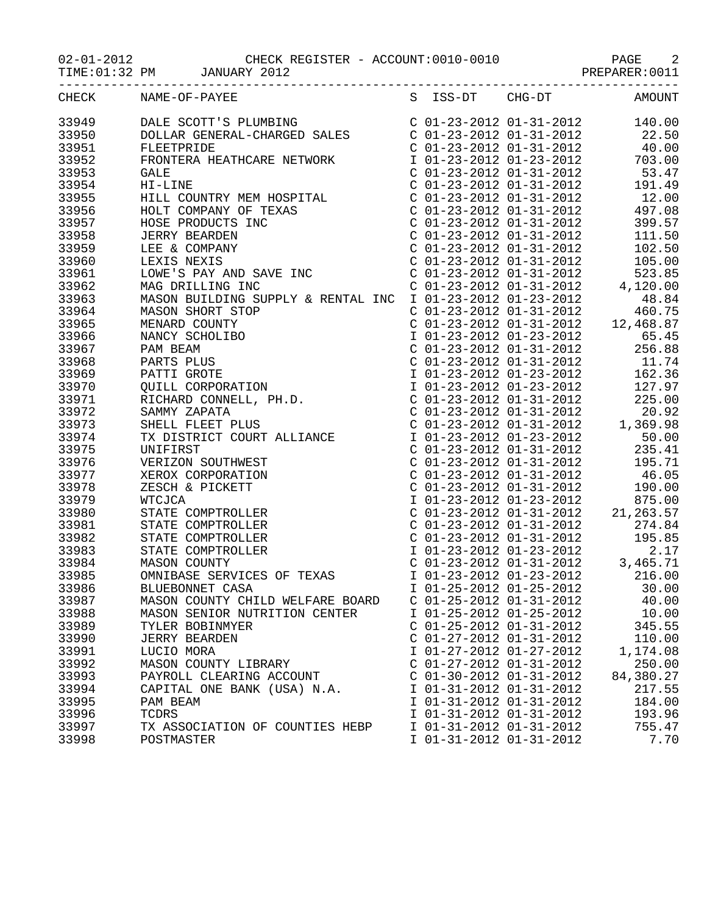02-01-2012 CHECK REGISTER - ACCOUNT:0010-0010 PAGE 2

TIME:01:32 PM JANUARY 2012 **PREPARER:0011** 

|       | CHECK NAME-OF-PAYEE S ISS-DT CHG-DT AMOUNT |                           |                     |
|-------|--------------------------------------------|---------------------------|---------------------|
|       |                                            |                           |                     |
|       |                                            |                           |                     |
|       |                                            |                           |                     |
|       |                                            |                           |                     |
|       |                                            |                           |                     |
|       |                                            |                           |                     |
|       |                                            |                           |                     |
|       |                                            |                           |                     |
|       |                                            |                           |                     |
|       |                                            |                           |                     |
|       |                                            |                           |                     |
|       |                                            |                           |                     |
|       |                                            |                           |                     |
|       |                                            |                           |                     |
|       |                                            |                           |                     |
|       |                                            |                           |                     |
|       |                                            |                           |                     |
|       |                                            |                           |                     |
|       |                                            |                           |                     |
|       |                                            |                           |                     |
|       |                                            |                           |                     |
|       |                                            |                           |                     |
|       |                                            |                           |                     |
|       |                                            |                           |                     |
|       |                                            |                           |                     |
|       |                                            |                           |                     |
|       |                                            |                           |                     |
|       |                                            |                           |                     |
|       |                                            |                           |                     |
|       |                                            |                           |                     |
|       |                                            |                           |                     |
|       |                                            |                           |                     |
|       |                                            |                           |                     |
|       |                                            |                           |                     |
|       |                                            |                           |                     |
|       |                                            |                           |                     |
|       |                                            |                           |                     |
|       |                                            |                           |                     |
|       |                                            |                           |                     |
| 33988 | MASON SENIOR NUTRITION CENTER              | I 01-25-2012 01-25-2012   | 10.00               |
| 33989 | TYLER BOBINMYER                            | $C$ 01-25-2012 01-31-2012 | 345.55              |
| 33990 | <b>JERRY BEARDEN</b>                       | $C$ 01-27-2012 01-31-2012 | 110.00              |
| 33991 | LUCIO MORA                                 | I 01-27-2012 01-27-2012   | 1,174.08            |
| 33992 | MASON COUNTY LIBRARY                       | $C$ 01-27-2012 01-31-2012 | 250.00              |
| 33993 | PAYROLL CLEARING ACCOUNT                   | $C$ 01-30-2012 01-31-2012 |                     |
| 33994 | CAPITAL ONE BANK (USA) N.A.                | I 01-31-2012 01-31-2012   | 84,380.27<br>217.55 |
| 33995 | PAM BEAM                                   | I 01-31-2012 01-31-2012   | 184.00              |
| 33996 | TCDRS                                      | I 01-31-2012 01-31-2012   | 193.96              |
| 33997 | TX ASSOCIATION OF COUNTIES HEBP            | I 01-31-2012 01-31-2012   | 755.47              |
| 33998 | POSTMASTER                                 | I 01-31-2012 01-31-2012   | 7.70                |
|       |                                            |                           |                     |